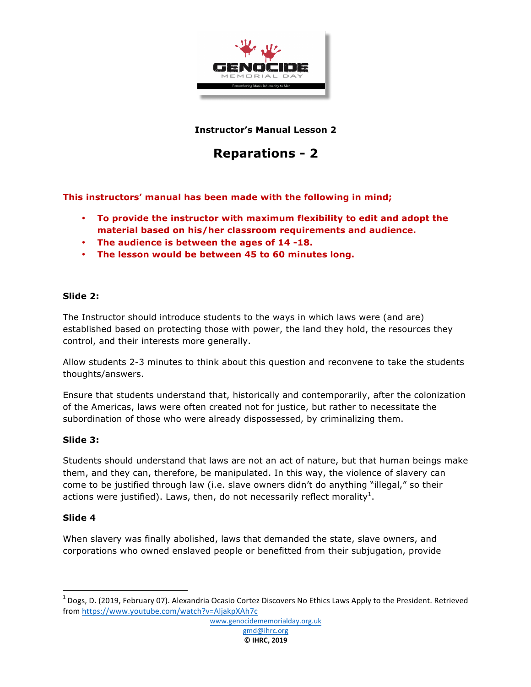

**Instructor's Manual Lesson 2**

# **Reparations - 2**

**This instructors' manual has been made with the following in mind;**

- **To provide the instructor with maximum flexibility to edit and adopt the material based on his/her classroom requirements and audience.**
- **The audience is between the ages of 14 -18.**
- **The lesson would be between 45 to 60 minutes long.**

### **Slide 2:**

The Instructor should introduce students to the ways in which laws were (and are) established based on protecting those with power, the land they hold, the resources they control, and their interests more generally.

Allow students 2-3 minutes to think about this question and reconvene to take the students thoughts/answers.

Ensure that students understand that, historically and contemporarily, after the colonization of the Americas, laws were often created not for justice, but rather to necessitate the subordination of those who were already dispossessed, by criminalizing them.

#### **Slide 3:**

Students should understand that laws are not an act of nature, but that human beings make them, and they can, therefore, be manipulated. In this way, the violence of slavery can come to be justified through law (i.e. slave owners didn't do anything "illegal," so their actions were justified). Laws, then, do not necessarily reflect morality<sup>1</sup>.

### **Slide 4**

When slavery was finally abolished, laws that demanded the state, slave owners, and corporations who owned enslaved people or benefitted from their subjugation, provide

gmd@ihrc.org **© IHRC, 2019**

 $1$  Dogs, D. (2019, February 07). Alexandria Ocasio Cortez Discovers No Ethics Laws Apply to the President. Retrieved from https://www.youtube.com/watch?v=AljakpXAh7c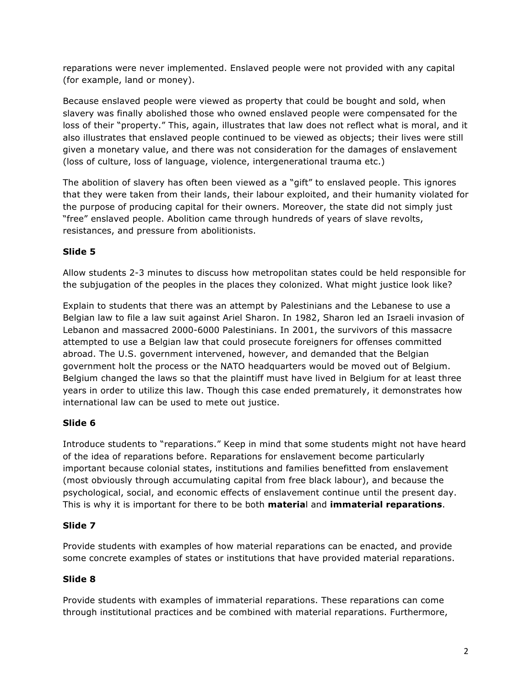reparations were never implemented. Enslaved people were not provided with any capital (for example, land or money).

Because enslaved people were viewed as property that could be bought and sold, when slavery was finally abolished those who owned enslaved people were compensated for the loss of their "property." This, again, illustrates that law does not reflect what is moral, and it also illustrates that enslaved people continued to be viewed as objects; their lives were still given a monetary value, and there was not consideration for the damages of enslavement (loss of culture, loss of language, violence, intergenerational trauma etc.)

The abolition of slavery has often been viewed as a "gift" to enslaved people. This ignores that they were taken from their lands, their labour exploited, and their humanity violated for the purpose of producing capital for their owners. Moreover, the state did not simply just "free" enslaved people. Abolition came through hundreds of years of slave revolts, resistances, and pressure from abolitionists.

## **Slide 5**

Allow students 2-3 minutes to discuss how metropolitan states could be held responsible for the subjugation of the peoples in the places they colonized. What might justice look like?

Explain to students that there was an attempt by Palestinians and the Lebanese to use a Belgian law to file a law suit against Ariel Sharon. In 1982, Sharon led an Israeli invasion of Lebanon and massacred 2000-6000 Palestinians. In 2001, the survivors of this massacre attempted to use a Belgian law that could prosecute foreigners for offenses committed abroad. The U.S. government intervened, however, and demanded that the Belgian government holt the process or the NATO headquarters would be moved out of Belgium. Belgium changed the laws so that the plaintiff must have lived in Belgium for at least three years in order to utilize this law. Though this case ended prematurely, it demonstrates how international law can be used to mete out justice.

## **Slide 6**

Introduce students to "reparations." Keep in mind that some students might not have heard of the idea of reparations before. Reparations for enslavement become particularly important because colonial states, institutions and families benefitted from enslavement (most obviously through accumulating capital from free black labour), and because the psychological, social, and economic effects of enslavement continue until the present day. This is why it is important for there to be both **materia**l and **immaterial reparations**.

### **Slide 7**

Provide students with examples of how material reparations can be enacted, and provide some concrete examples of states or institutions that have provided material reparations.

## **Slide 8**

Provide students with examples of immaterial reparations. These reparations can come through institutional practices and be combined with material reparations. Furthermore,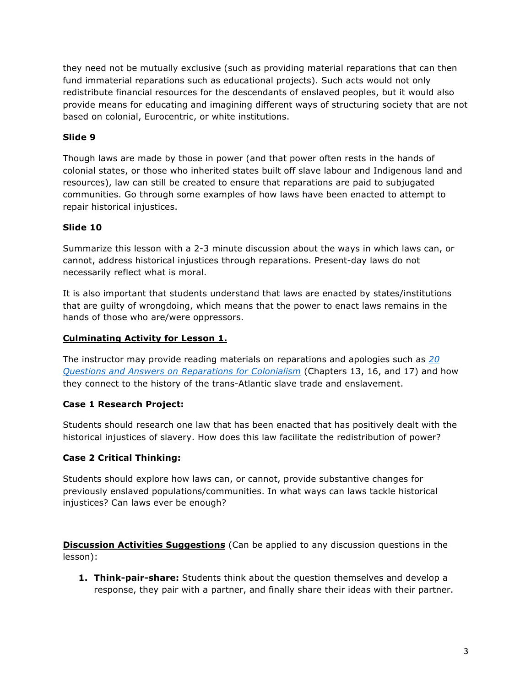they need not be mutually exclusive (such as providing material reparations that can then fund immaterial reparations such as educational projects). Such acts would not only redistribute financial resources for the descendants of enslaved peoples, but it would also provide means for educating and imagining different ways of structuring society that are not based on colonial, Eurocentric, or white institutions.

## **Slide 9**

Though laws are made by those in power (and that power often rests in the hands of colonial states, or those who inherited states built off slave labour and Indigenous land and resources), law can still be created to ensure that reparations are paid to subjugated communities. Go through some examples of how laws have been enacted to attempt to repair historical injustices.

## **Slide 10**

Summarize this lesson with a 2-3 minute discussion about the ways in which laws can, or cannot, address historical injustices through reparations. Present-day laws do not necessarily reflect what is moral.

It is also important that students understand that laws are enacted by states/institutions that are guilty of wrongdoing, which means that the power to enact laws remains in the hands of those who are/were oppressors.

## **Culminating Activity for Lesson 1.**

The instructor may provide reading materials on reparations and apologies such as *20 Questions and Answers on Reparations for Colonialism* (Chapters 13, 16, and 17) and how they connect to the history of the trans-Atlantic slave trade and enslavement.

### **Case 1 Research Project:**

Students should research one law that has been enacted that has positively dealt with the historical injustices of slavery. How does this law facilitate the redistribution of power?

### **Case 2 Critical Thinking:**

Students should explore how laws can, or cannot, provide substantive changes for previously enslaved populations/communities. In what ways can laws tackle historical injustices? Can laws ever be enough?

**Discussion Activities Suggestions** (Can be applied to any discussion questions in the lesson):

**1. Think-pair-share:** Students think about the question themselves and develop a response, they pair with a partner, and finally share their ideas with their partner.